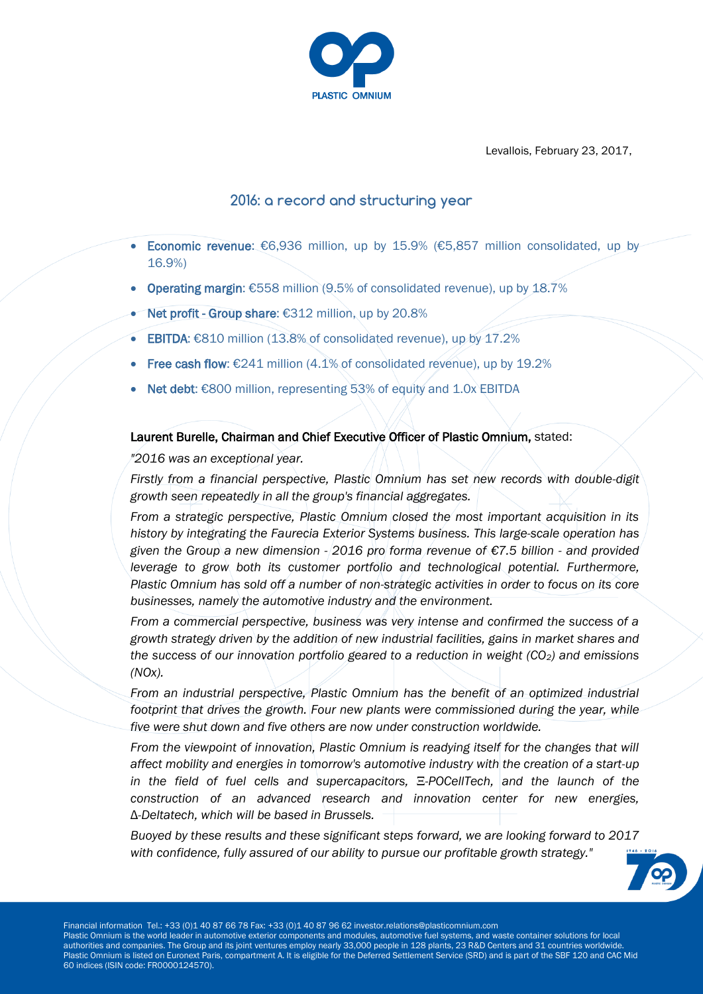

Levallois, February 23, 2017,

# **2016: a record and structuring year**

- Economic revenue: €6,936 million, up by 15.9% (€5,857 million consolidated, up by 16.9%)
- Operating margin: €558 million (9.5% of consolidated revenue), up by 18.7%
- Net profit Group share: €312 million, up by 20.8%
- EBITDA: €810 million (13.8% of consolidated revenue), up by 17.2%
- Free cash flow: €241 million (4.1% of consolidated revenue), up by 19.2%
- Net debt: €800 million, representing 53% of equity and 1.0x EBITDA

# Laurent Burelle, Chairman and Chief Executive Officer of Plastic Omnium, stated:

*"2016 was an exceptional year.*

*Firstly from a financial perspective, Plastic Omnium has set new records with double-digit growth seen repeatedly in all the group's financial aggregates.* 

*From a strategic perspective, Plastic Omnium closed the most important acquisition in its history by integrating the Faurecia Exterior Systems business. This large-scale operation has given the Group a new dimension - 2016 pro forma revenue of €7.5 billion - and provided leverage to grow both its customer portfolio and technological potential. Furthermore, Plastic Omnium has sold off a number of non-strategic activities in order to focus on its core businesses, namely the automotive industry and the environment.*

*From a commercial perspective, business was very intense and confirmed the success of a growth strategy driven by the addition of new industrial facilities, gains in market shares and the success of our innovation portfolio geared to a reduction in weight (CO2) and emissions (NOx).* 

*From an industrial perspective, Plastic Omnium has the benefit of an optimized industrial footprint that drives the growth. Four new plants were commissioned during the year, while five were shut down and five others are now under construction worldwide.*

*From the viewpoint of innovation, Plastic Omnium is readying itself for the changes that will affect mobility and energies in tomorrow's automotive industry with the creation of a start-up in the field of fuel cells and supercapacitors,* Ξ*-POCellTech, and the launch of the construction of an advanced research and innovation center for new energies,*  Δ*-Deltatech, which will be based in Brussels.*

*Buoyed by these results and these significant steps forward, we are looking forward to 2017 with confidence, fully assured of our ability to pursue our profitable growth strategy."*

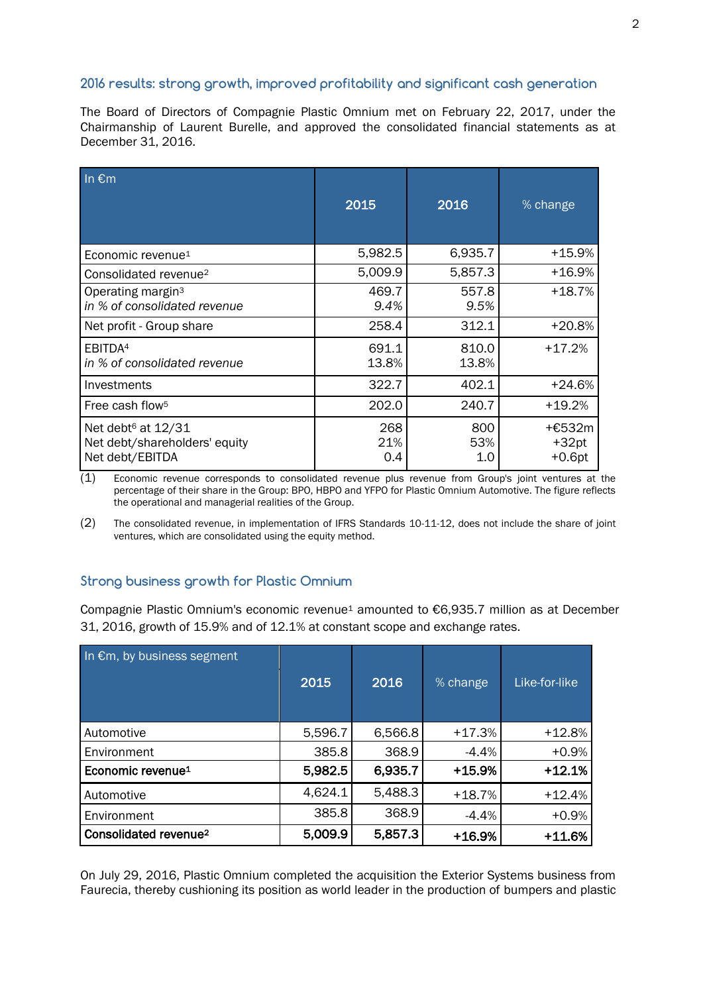### **2016 results: strong growth, improved profitability and significant cash generation**

The Board of Directors of Compagnie Plastic Omnium met on February 22, 2017, under the Chairmanship of Laurent Burelle, and approved the consolidated financial statements as at December 31, 2016.

| In $\epsilon$ m                                                                    | 2015              | 2016              | $%$ change                    |
|------------------------------------------------------------------------------------|-------------------|-------------------|-------------------------------|
| Economic revenue <sup>1</sup>                                                      | 5,982.5           | 6,935.7           | +15.9%                        |
| Consolidated revenue <sup>2</sup>                                                  | 5,009.9           | 5,857.3           | $+16.9\%$                     |
| Operating margin <sup>3</sup><br>in % of consolidated revenue                      | 469.7<br>9.4%     | 557.8<br>9.5%     | +18.7%                        |
| Net profit - Group share                                                           | 258.4             | 312.1             | +20.8%                        |
| EBITDA <sup>4</sup><br>in % of consolidated revenue                                | 691.1<br>13.8%    | 810.0<br>13.8%    | $+17.2%$                      |
| Investments                                                                        | 322.7             | 402.1             | $+24.6%$                      |
| Free cash flow <sup>5</sup>                                                        | 202.0             | 240.7             | $+19.2%$                      |
| Net debt <sup>6</sup> at 12/31<br>Net debt/shareholders' equity<br>Net debt/EBITDA | 268<br>21%<br>0.4 | 800<br>53%<br>1.0 | +€532m<br>$+32pt$<br>$+0.6pt$ |

 $(1)$  Economic revenue corresponds to consolidated revenue plus revenue from Group's joint ventures at the percentage of their share in the Group: BPO, HBPO and YFPO for Plastic Omnium Automotive. The figure reflects the operational and managerial realities of the Group.

(2) The consolidated revenue, in implementation of IFRS Standards 10-11-12, does not include the share of joint ventures, which are consolidated using the equity method.

# **Strong business growth for Plastic Omnium**

Compagnie Plastic Omnium's economic revenue<sup>1</sup> amounted to €6,935.7 million as at December 31, 2016, growth of 15.9% and of 12.1% at constant scope and exchange rates.

| In €m, by business segment        | 2015    | 2016    | % change | Like-for-like |
|-----------------------------------|---------|---------|----------|---------------|
| Automotive                        | 5,596.7 | 6,566.8 | $+17.3%$ | $+12.8%$      |
| Environment                       | 385.8   | 368.9   | $-4.4%$  | $+0.9%$       |
| Economic revenue <sup>1</sup>     | 5,982.5 | 6,935.7 | $+15.9%$ | $+12.1%$      |
| Automotive                        | 4,624.1 | 5,488.3 | $+18.7%$ | $+12.4%$      |
| Environment                       | 385.8   | 368.9   | $-4.4%$  | $+0.9%$       |
| Consolidated revenue <sup>2</sup> | 5,009.9 | 5,857.3 | $+16.9%$ | $+11.6%$      |

On July 29, 2016, Plastic Omnium completed the acquisition the Exterior Systems business from Faurecia, thereby cushioning its position as world leader in the production of bumpers and plastic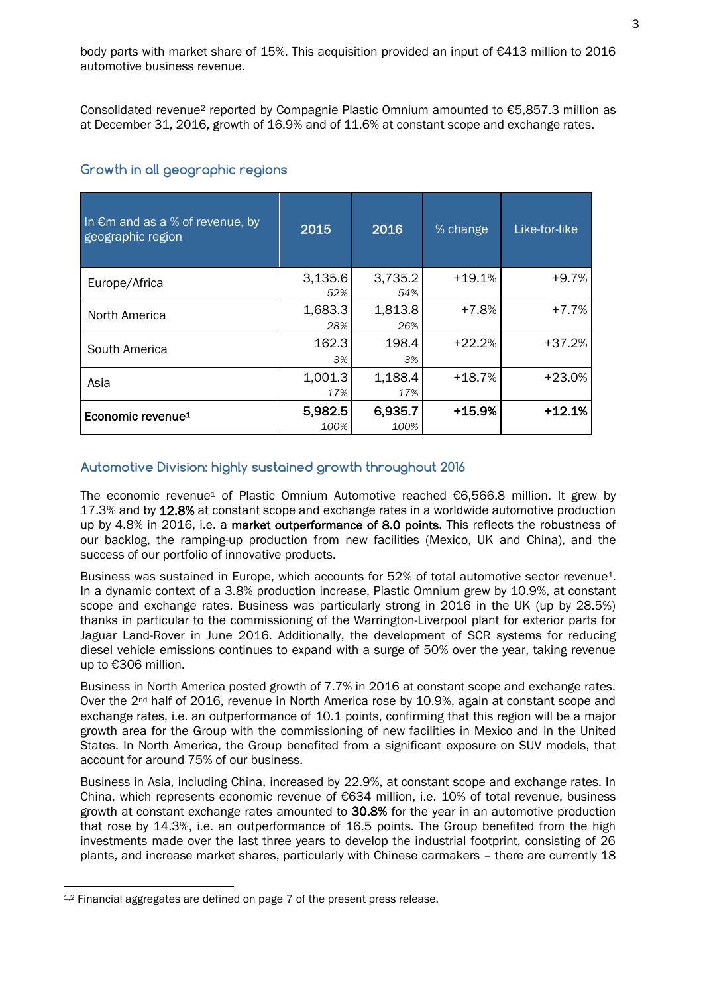body parts with market share of 15%. This acquisition provided an input of €413 million to 2016 automotive business revenue.

Consolidated revenue<sup>2</sup> reported by Compagnie Plastic Omnium amounted to €5,857.3 million as at December 31, 2016, growth of 16.9% and of 11.6% at constant scope and exchange rates.

#### **Growth in all geographic regions**

| In $\epsilon$ m and as a % of revenue, by<br>geographic region | 2015            | 2016            | % change | Like-for-like |
|----------------------------------------------------------------|-----------------|-----------------|----------|---------------|
| Europe/Africa                                                  | 3,135.6<br>52%  | 3,735.2<br>54%  | $+19.1%$ | $+9.7%$       |
| North America                                                  | 1,683.3<br>28%  | 1,813.8<br>26%  | $+7.8%$  | $+7.7%$       |
| South America                                                  | 162.3<br>3%     | 198.4<br>3%     | $+22.2%$ | $+37.2%$      |
| Asia                                                           | 1,001.3<br>17%  | 1,188.4<br>17%  | $+18.7%$ | $+23.0%$      |
| Economic revenue <sup>1</sup>                                  | 5,982.5<br>100% | 6,935.7<br>100% | $+15.9%$ | $+12.1%$      |

#### **Automotive Division: highly sustained growth throughout 2016**

The economic revenue<sup>1</sup> of Plastic Omnium Automotive reached  $€6,566.8$  million. It grew by 17.3% and by 12.8% at constant scope and exchange rates in a worldwide automotive production up by 4.8% in 2016, i.e. a market outperformance of 8.0 points. This reflects the robustness of our backlog, the ramping-up production from new facilities (Mexico, UK and China), and the success of our portfolio of innovative products.

Business was sustained in Europe, which accounts for 52% of total automotive sector revenue<sup>1</sup>. In a dynamic context of a 3.8% production increase, Plastic Omnium grew by 10.9%, at constant scope and exchange rates. Business was particularly strong in 2016 in the UK (up by 28.5%) thanks in particular to the commissioning of the Warrington-Liverpool plant for exterior parts for Jaguar Land-Rover in June 2016. Additionally, the development of SCR systems for reducing diesel vehicle emissions continues to expand with a surge of 50% over the year, taking revenue up to €306 million.

Business in North America posted growth of 7.7% in 2016 at constant scope and exchange rates. Over the 2<sup>nd</sup> half of 2016, revenue in North America rose by 10.9%, again at constant scope and exchange rates, i.e. an outperformance of 10.1 points, confirming that this region will be a major growth area for the Group with the commissioning of new facilities in Mexico and in the United States. In North America, the Group benefited from a significant exposure on SUV models, that account for around 75% of our business.

Business in Asia, including China, increased by 22.9%, at constant scope and exchange rates. In China, which represents economic revenue of €634 million, i.e. 10% of total revenue, business growth at constant exchange rates amounted to 30.8% for the year in an automotive production that rose by 14.3%, i.e. an outperformance of 16.5 points. The Group benefited from the high investments made over the last three years to develop the industrial footprint, consisting of 26 plants, and increase market shares, particularly with Chinese carmakers – there are currently 18

 $\overline{a}$ 

 $1.2$  Financial aggregates are defined on page 7 of the present press release.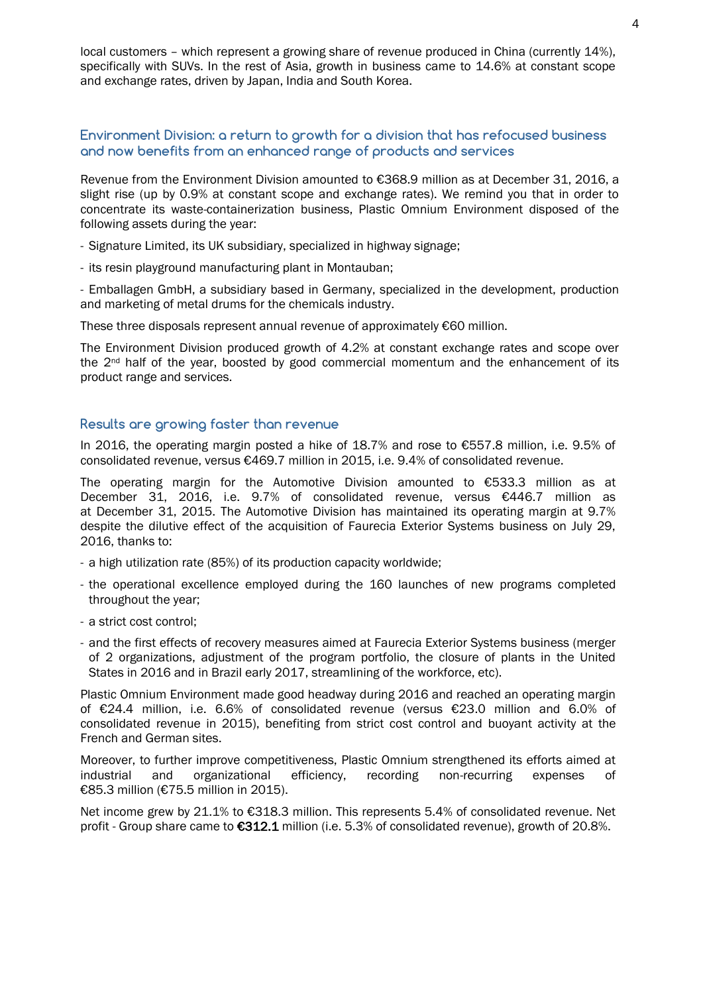local customers – which represent a growing share of revenue produced in China (currently 14%), specifically with SUVs. In the rest of Asia, growth in business came to 14.6% at constant scope and exchange rates, driven by Japan, India and South Korea.

### **Environment Division: a return to growth for a division that has refocused business and now benefits from an enhanced range of products and services**

Revenue from the Environment Division amounted to €368.9 million as at December 31, 2016, a slight rise (up by 0.9% at constant scope and exchange rates). We remind you that in order to concentrate its waste-containerization business, Plastic Omnium Environment disposed of the following assets during the year:

- Signature Limited, its UK subsidiary, specialized in highway signage;
- its resin playground manufacturing plant in Montauban;

- Emballagen GmbH, a subsidiary based in Germany, specialized in the development, production and marketing of metal drums for the chemicals industry.

These three disposals represent annual revenue of approximately €60 million.

The Environment Division produced growth of 4.2% at constant exchange rates and scope over the  $2<sup>nd</sup>$  half of the year, boosted by good commercial momentum and the enhancement of its product range and services.

#### **Results are growing faster than revenue**

In 2016, the operating margin posted a hike of 18.7% and rose to €557.8 million, i.e. 9.5% of consolidated revenue, versus €469.7 million in 2015, i.e. 9.4% of consolidated revenue.

The operating margin for the Automotive Division amounted to €533.3 million as at December 31, 2016, i.e. 9.7% of consolidated revenue, versus €446.7 million as at December 31, 2015. The Automotive Division has maintained its operating margin at 9.7% despite the dilutive effect of the acquisition of Faurecia Exterior Systems business on July 29, 2016, thanks to:

- a high utilization rate (85%) of its production capacity worldwide;
- the operational excellence employed during the 160 launches of new programs completed throughout the year;
- a strict cost control;
- and the first effects of recovery measures aimed at Faurecia Exterior Systems business (merger of 2 organizations, adjustment of the program portfolio, the closure of plants in the United States in 2016 and in Brazil early 2017, streamlining of the workforce, etc).

Plastic Omnium Environment made good headway during 2016 and reached an operating margin of €24.4 million, i.e. 6.6% of consolidated revenue (versus €23.0 million and 6.0% of consolidated revenue in 2015), benefiting from strict cost control and buoyant activity at the French and German sites.

Moreover, to further improve competitiveness, Plastic Omnium strengthened its efforts aimed at industrial and organizational efficiency, recording non-recurring expenses of €85.3 million (€75.5 million in 2015).

Net income grew by 21.1% to €318.3 million. This represents 5.4% of consolidated revenue. Net profit - Group share came to €312.1 million (i.e. 5.3% of consolidated revenue), growth of 20.8%.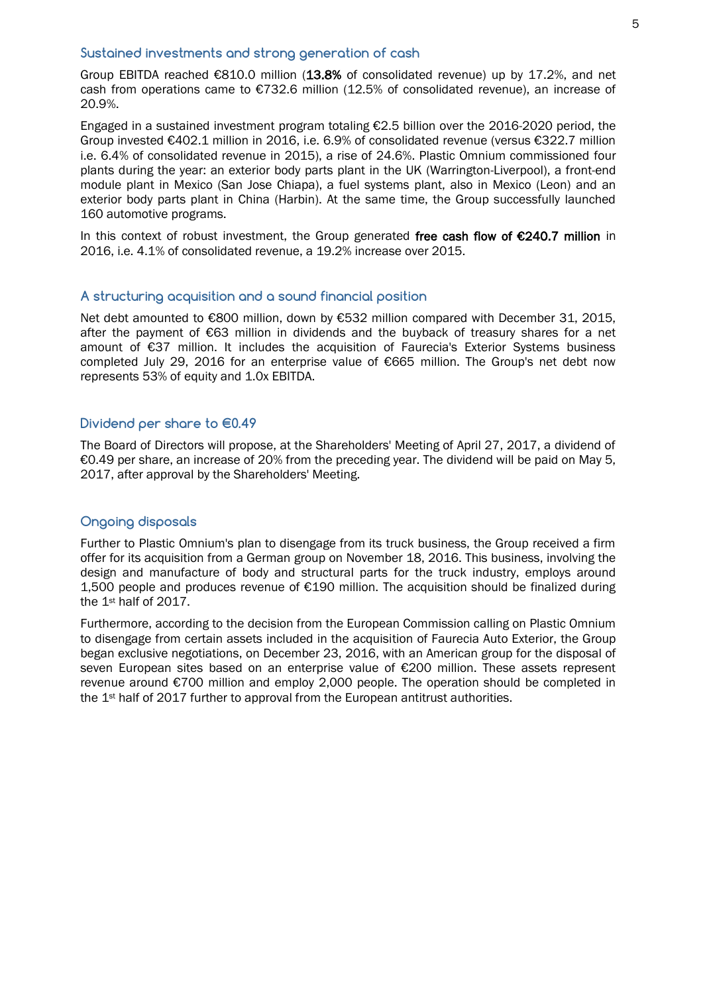#### **Sustained investments and strong generation of cash**

Group EBITDA reached €810.0 million (13.8% of consolidated revenue) up by 17.2%, and net cash from operations came to  $E$ 732.6 million (12.5% of consolidated revenue), an increase of 20.9%.

Engaged in a sustained investment program totaling €2.5 billion over the 2016-2020 period, the Group invested €402.1 million in 2016, i.e. 6.9% of consolidated revenue (versus €322.7 million i.e. 6.4% of consolidated revenue in 2015), a rise of 24.6%. Plastic Omnium commissioned four plants during the year: an exterior body parts plant in the UK (Warrington-Liverpool), a front-end module plant in Mexico (San Jose Chiapa), a fuel systems plant, also in Mexico (Leon) and an exterior body parts plant in China (Harbin). At the same time, the Group successfully launched 160 automotive programs.

In this context of robust investment, the Group generated free cash flow of  $\epsilon$ 240.7 million in 2016, i.e. 4.1% of consolidated revenue, a 19.2% increase over 2015.

### **A structuring acquisition and a sound financial position**

Net debt amounted to €800 million, down by €532 million compared with December 31, 2015, after the payment of €63 million in dividends and the buyback of treasury shares for a net amount of €37 million. It includes the acquisition of Faurecia's Exterior Systems business completed July 29, 2016 for an enterprise value of €665 million. The Group's net debt now represents 53% of equity and 1.0x EBITDA.

#### **Dividend per share to €0.49**

The Board of Directors will propose, at the Shareholders' Meeting of April 27, 2017, a dividend of €0.49 per share, an increase of 20% from the preceding year. The dividend will be paid on May 5, 2017, after approval by the Shareholders' Meeting.

#### **Ongoing disposals**

Further to Plastic Omnium's plan to disengage from its truck business, the Group received a firm offer for its acquisition from a German group on November 18, 2016. This business, involving the design and manufacture of body and structural parts for the truck industry, employs around 1,500 people and produces revenue of €190 million. The acquisition should be finalized during the 1st half of 2017.

Furthermore, according to the decision from the European Commission calling on Plastic Omnium to disengage from certain assets included in the acquisition of Faurecia Auto Exterior, the Group began exclusive negotiations, on December 23, 2016, with an American group for the disposal of seven European sites based on an enterprise value of €200 million. These assets represent revenue around €700 million and employ 2,000 people. The operation should be completed in the 1<sup>st</sup> half of 2017 further to approval from the European antitrust authorities.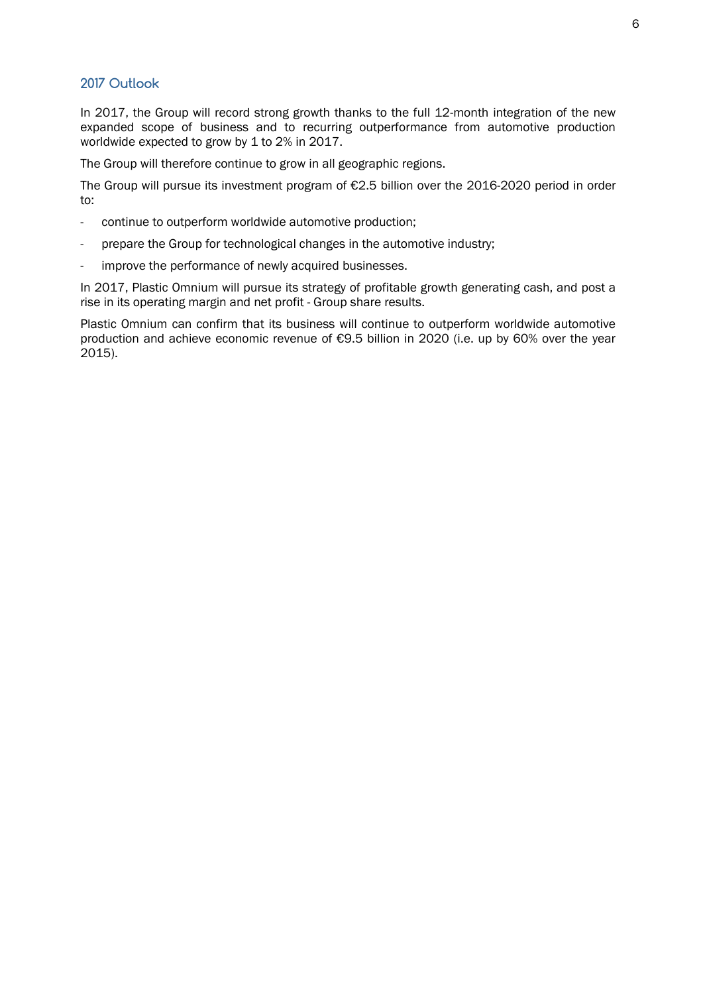#### **2017 Outlook**

In 2017, the Group will record strong growth thanks to the full 12-month integration of the new expanded scope of business and to recurring outperformance from automotive production worldwide expected to grow by 1 to 2% in 2017.

The Group will therefore continue to grow in all geographic regions.

The Group will pursue its investment program of €2.5 billion over the 2016-2020 period in order to:

- continue to outperform worldwide automotive production;
- prepare the Group for technological changes in the automotive industry;
- improve the performance of newly acquired businesses.

In 2017, Plastic Omnium will pursue its strategy of profitable growth generating cash, and post a rise in its operating margin and net profit - Group share results.

Plastic Omnium can confirm that its business will continue to outperform worldwide automotive production and achieve economic revenue of €9.5 billion in 2020 (i.e. up by 60% over the year 2015).